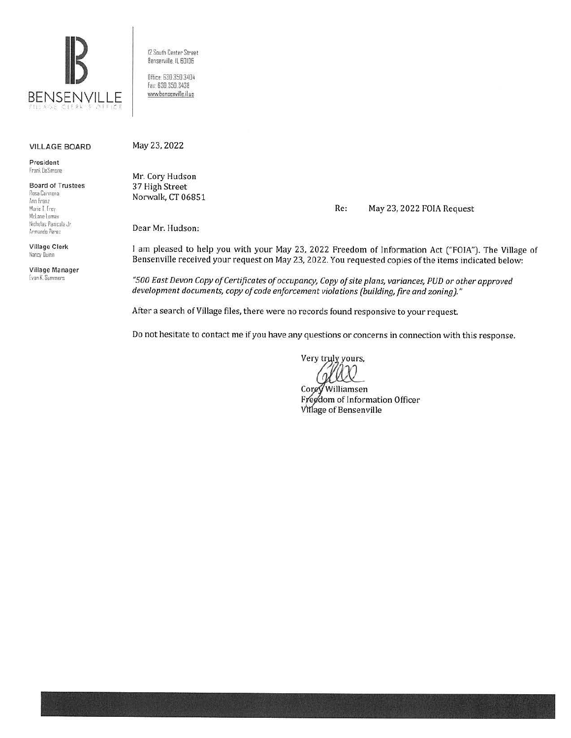

<sup>12</sup>South Center Street Bensenville, IL 60106 Office 630.350.3404 for.· 830.350.3438

•NN1.benserwille.il.us

## VILLAGE BOARD

President f ran\ OeS,rnone

Board of Trustees **Ros:a Cannon a Alm Franz**  Marie T. Frey Mclane Lomax Nicholas Panicola Jr. /,rmanda Pere 1

Village Clerk **tfani:v Dumn** 

Village Manager [van K. Summers

May 23, 2022

Mr. Cory Hudson 37 High Street Norwalk, CT 06851

Re: May 23, 2022 FOIA Request

Dear Mr. Hudson:

I am pleased to help you with your May 23, 2022 Freedom of Information Act ("FOIA"). The Village of Bensenville received your request on May 23, 2022. You requested copies of the items indicated below:

*"500 East Devon Copy of Certificates of occupancy, Copy of site plans, variances, PUD or other approved development documents, copy of code enforcement violations (building, fire and zoning)."* 

After a search of Village files, there were no records found responsive to your request.

Do not hesitate to contact me if you have any questions or concerns in connection with this response.

Very tryly yours,

Corey Williamsen Freedom of Information Officer<br>Village of Bensenville